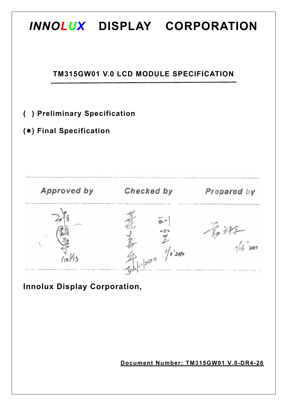

**Innolux Display Corporation,** 

**Document Number: TM315GW01 V.0-DR4-26**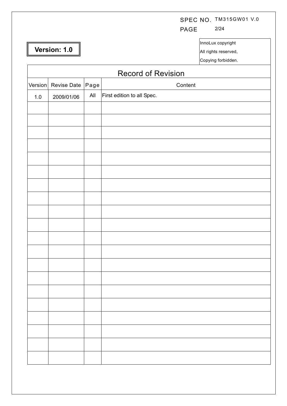# SPEC NO. TM315GW01 V.0

PAGE 2/24

**Version: 1.0** 

 $\Gamma$ 

InnoLux copyright

All rights reserved,

Copying forbidden.

|         | <b>Record of Revision</b> |      |                            |  |  |  |  |  |  |  |
|---------|---------------------------|------|----------------------------|--|--|--|--|--|--|--|
| Version | Revise Date               | Page | Content                    |  |  |  |  |  |  |  |
| $1.0\,$ | 2009/01/06                | All  | First edition to all Spec. |  |  |  |  |  |  |  |
|         |                           |      |                            |  |  |  |  |  |  |  |
|         |                           |      |                            |  |  |  |  |  |  |  |
|         |                           |      |                            |  |  |  |  |  |  |  |
|         |                           |      |                            |  |  |  |  |  |  |  |
|         |                           |      |                            |  |  |  |  |  |  |  |
|         |                           |      |                            |  |  |  |  |  |  |  |
|         |                           |      |                            |  |  |  |  |  |  |  |
|         |                           |      |                            |  |  |  |  |  |  |  |
|         |                           |      |                            |  |  |  |  |  |  |  |
|         |                           |      |                            |  |  |  |  |  |  |  |
|         |                           |      |                            |  |  |  |  |  |  |  |
|         |                           |      |                            |  |  |  |  |  |  |  |
|         |                           |      |                            |  |  |  |  |  |  |  |
|         |                           |      |                            |  |  |  |  |  |  |  |
|         |                           |      |                            |  |  |  |  |  |  |  |
|         |                           |      |                            |  |  |  |  |  |  |  |
|         |                           |      |                            |  |  |  |  |  |  |  |
|         |                           |      |                            |  |  |  |  |  |  |  |
|         |                           |      |                            |  |  |  |  |  |  |  |
|         |                           |      |                            |  |  |  |  |  |  |  |
|         |                           |      |                            |  |  |  |  |  |  |  |
|         |                           |      |                            |  |  |  |  |  |  |  |
|         |                           |      |                            |  |  |  |  |  |  |  |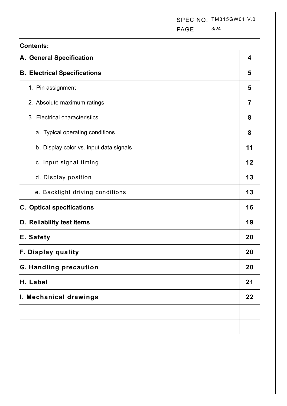SPEC NO. TM315GW01 V.0 PAGE 3/24

| <b>Contents:</b>                        |                |  |  |  |  |  |  |  |
|-----------------------------------------|----------------|--|--|--|--|--|--|--|
| A. General Specification                | 4              |  |  |  |  |  |  |  |
| <b>B. Electrical Specifications</b>     | 5              |  |  |  |  |  |  |  |
| 1. Pin assignment                       | 5              |  |  |  |  |  |  |  |
| 2. Absolute maximum ratings             | $\overline{7}$ |  |  |  |  |  |  |  |
| 3. Electrical characteristics           | 8              |  |  |  |  |  |  |  |
| a. Typical operating conditions         | 8              |  |  |  |  |  |  |  |
| b. Display color vs. input data signals | 11             |  |  |  |  |  |  |  |
| c. Input signal timing                  | 12             |  |  |  |  |  |  |  |
| d. Display position                     | 13             |  |  |  |  |  |  |  |
| e. Backlight driving conditions         | 13             |  |  |  |  |  |  |  |
| <b>C.</b> Optical specifications        | 16             |  |  |  |  |  |  |  |
| D. Reliability test items               | 19             |  |  |  |  |  |  |  |
| E. Safety                               | 20             |  |  |  |  |  |  |  |
| F.<br>Display quality                   | 20             |  |  |  |  |  |  |  |
| G. Handling precaution                  | 20             |  |  |  |  |  |  |  |
| H. Label                                | 21             |  |  |  |  |  |  |  |
| I. Mechanical drawings                  |                |  |  |  |  |  |  |  |
|                                         |                |  |  |  |  |  |  |  |
|                                         |                |  |  |  |  |  |  |  |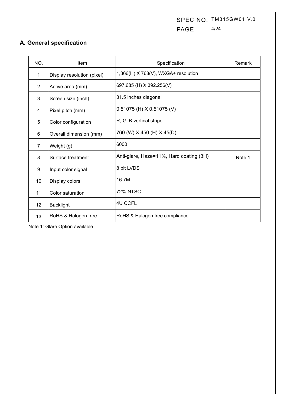SPEC NO. TM315GW01 V.0 PAGE 4/24

# **A. General specification**

| NO.            | Item                       | Specification                           | Remark |
|----------------|----------------------------|-----------------------------------------|--------|
| 1              | Display resolution (pixel) | 1,366(H) X 768(V), WXGA+ resolution     |        |
| $\overline{2}$ | Active area (mm)           | 697.685 (H) X 392.256(V)                |        |
| 3              | Screen size (inch)         | 31.5 inches diagonal                    |        |
| 4              | Pixel pitch (mm)           | $0.51075$ (H) X 0.51075 (V)             |        |
| 5              | Color configuration        | R, G, B vertical stripe                 |        |
| 6              | Overall dimension (mm)     | 760 (W) X 450 (H) X 45(D)               |        |
| 7              | Weight (g)                 | 6000                                    |        |
| 8              | Surface treatment          | Anti-glare, Haze=11%, Hard coating (3H) | Note 1 |
| 9              | Input color signal         | 8 bit LVDS                              |        |
| 10             | Display colors             | 16.7M                                   |        |
| 11             | Color saturation           | <b>72% NTSC</b>                         |        |
| 12             | <b>Backlight</b>           | 4U CCFL                                 |        |
| 13             | RoHS & Halogen free        | RoHS & Halogen free compliance          |        |

Note 1: Glare Option available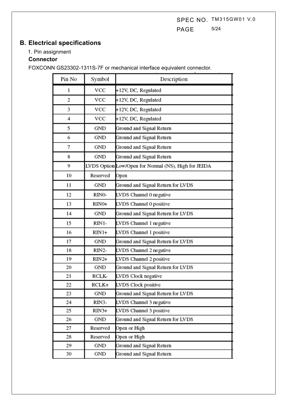SPEC NO. TM315GW01 V.0 PAGE 5/24

# **B. Electrical specifications**

## 1. Pin assignment

### **Connector**

FOXCONN GS23302-1311S-7F or mechanical interface equivalent connector.

| Pin No | Symbol   | Description                                          |
|--------|----------|------------------------------------------------------|
| 1      | VCC      | +12V, DC, Regulated                                  |
| 2      | VCC      | +12V, DC, Regulated                                  |
| 3      | VCC      | +12V, DC, Regulated                                  |
| 4      | VCC      | +12V, DC, Regulated                                  |
| 5      | GND      | Ground and Signal Return                             |
| 6      | GND      | Ground and Signal Return                             |
| 7      | GND      | Ground and Signal Return                             |
| 8      | GND      | Ground and Signal Return                             |
| 9      |          | LVDS Option Low/Open for Normal (NS), High for JEIDA |
| 10     | Reserved | Open                                                 |
| 11     | GND      | Ground and Signal Return for LVDS                    |
| 12     | RINO-    | LVDS Channel 0 negative                              |
| 13     | RINO+    | LVDS Channel 0 positive                              |
| 14     | GND      | Ground and Signal Return for LVDS                    |
| 15     | RIN1-    | LVDS Channel 1 negative                              |
| 16     | RIN1+    | LVDS Channel 1 positive                              |
| 17     | GND      | Ground and Signal Return for LVDS                    |
| 18     | RIN2-    | LVDS Channel 2 negative                              |
| 19     | RIN2+    | LVDS Channel 2 positive                              |
| 20     | GND      | Ground and Signal Return for LVDS                    |
| 21     | RCLK-    | LVDS Clock negative                                  |
| 22     | RCLK+    | LVDS Clock positive                                  |
| 23     | GND      | Ground and Signal Return for LVDS                    |
| 24     | RIN3-    | LVDS Channel 3 negative                              |
| 25     | RIN3+    | LVDS Channel 3 positive                              |
| 26     | GND      | Ground and Signal Return for LVDS                    |
| 27     | Reserved | Open or High                                         |
| 28     | Reserved | Open or High                                         |
| 29     | GND      | Ground and Signal Return                             |
| 30     | GND      | Ground and Signal Return                             |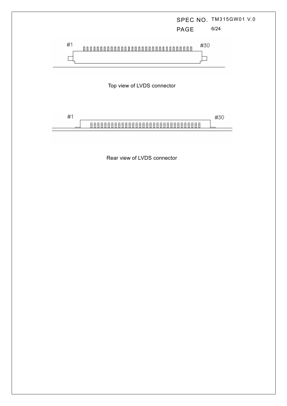

Rear view of LVDS connector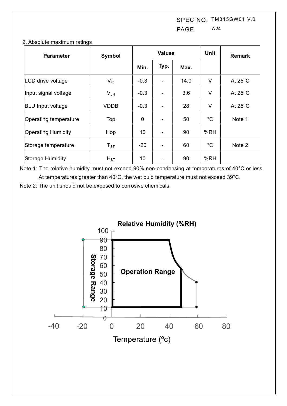SPEC NO. TM315GW01 V.0 PAGE 7/24

| <b>Parameter</b>         | Symbol            |        | <b>Values</b> |      | <b>Unit</b>  | <b>Remark</b>     |
|--------------------------|-------------------|--------|---------------|------|--------------|-------------------|
|                          |                   | Min.   | Typ.          | Max. |              |                   |
| LCD drive voltage        | $V_{cc}$          | $-0.3$ |               | 14.0 | V            | At $25^{\circ}$ C |
| Input signal voltage     | $V_{LH}$          | $-0.3$ |               | 3.6  | V            | At $25^{\circ}$ C |
| <b>BLU Input voltage</b> | <b>VDDB</b>       | $-0.3$ |               | 28   | V            | At $25^{\circ}$ C |
| Operating temperature    | Top               | 0      |               | 50   | $^{\circ}$ C | Note 1            |
| Operating Humidity       | Hop               | 10     |               | 90   | %RH          |                   |
| Storage temperature      | $T_{\mathtt{ST}}$ | $-20$  |               | 60   | $^{\circ}$ C | Note 2            |
| <b>Storage Humidity</b>  | $H_{ST}$          | 10     |               | 90   | %RH          |                   |

#### 2. Absolute maximum ratings

Note 1: The relative humidity must not exceed 90% non-condensing at temperatures of 40°C or less. At temperatures greater than 40°C, the wet bulb temperature must not exceed 39°C.

Note 2: The unit should not be exposed to corrosive chemicals.

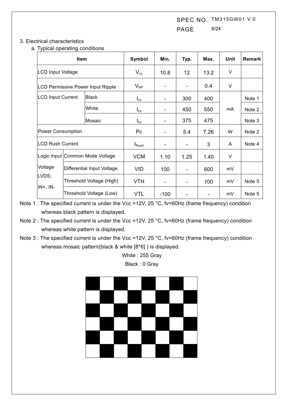SPEC NO. TM315GW01 V.0 PAGE 8/24

### 3. Electrical characteristics

a. Typical operating conditions

|                          | <b>Item</b> |                                   | Symbol                   | Min.                     | Typ. | Max. | Unit | <b>Remark</b> |
|--------------------------|-------------|-----------------------------------|--------------------------|--------------------------|------|------|------|---------------|
| <b>LCD Input Voltage</b> |             |                                   | $V_{cc}$                 | 10.8                     | 12   | 13.2 | V    |               |
|                          |             | LCD Permissive Power Input Ripple | $V_{RF}$                 | $\overline{\phantom{0}}$ |      | 0.4  | V    |               |
| <b>LCD Input Current</b> |             | <b>Black</b>                      | $I_{\rm cc}$             | $\overline{\phantom{0}}$ | 300  | 400  |      | Note 1        |
|                          |             | White                             | $I_{\rm cc}$             | $\overline{\phantom{0}}$ | 450  | 550  | mA   | Note 2        |
|                          |             | Mosaic                            | $I_{\rm cc}$             | ۰                        | 375  | 475  |      | Note 3        |
| <b>Power Consumption</b> |             |                                   | Pc                       | -                        | 5.4  | 7.26 | W    | Note 2        |
| <b>LCD Rush Current</b>  |             |                                   | <b>I</b> <sub>Rush</sub> | ۰                        | ۰    | 3    | A    | Note 4        |
|                          |             | Logic Input Common Mode Voltage   | <b>VCM</b>               | 1.10                     | 1.25 | 1.40 | V    |               |
| Voltage                  |             | Differential Input Voltage        | <b>VID</b>               | 100                      |      | 600  | mV   |               |
| LVDS:                    |             | Threshold Voltage (High)          | <b>VTH</b>               | ۰                        |      | 100  | mV   | Note 5        |
| $IN+$ , $IN-$            |             | Threshold Voltage (Low)           | <b>VTL</b>               | $-100$                   |      |      | mV   | Note 5        |

Note 1 : The specified current is under the Vcc =12V, 25 °C, fv=60Hz (frame frequency) condition whereas black pattern is displayed.

- Note 2 : The specified current is under the Vcc =12V, 25 °C, fv=60Hz (frame frequency) condition whereas white pattern is displayed.
- Note 3 : The specified current is under the Vcc =12V, 25 °C, fv=60Hz (frame frequency) condition whereas mosaic pattern(black & white [8\*6] ) is displayed.

White : 255 Gray Black : 0 Gray

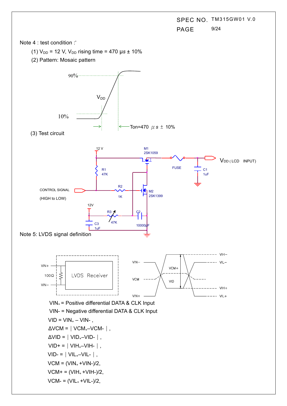SPEC NO. TM315GW01 V.0 PAGE 9/24

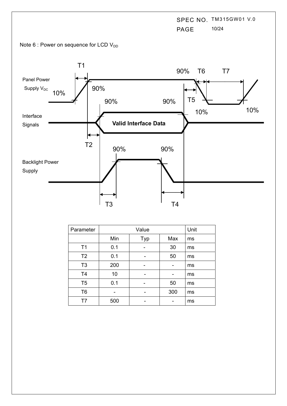SPEC NO. TM315GW01 V.0 PAGE 10/24





| Parameter      |     | Value |     |    |  |  |  |  |  |  |  |
|----------------|-----|-------|-----|----|--|--|--|--|--|--|--|
|                | Min | Typ   | Max | ms |  |  |  |  |  |  |  |
| T <sub>1</sub> | 0.1 |       | 30  | ms |  |  |  |  |  |  |  |
| T <sub>2</sub> | 0.1 | -     | 50  | ms |  |  |  |  |  |  |  |
| T <sub>3</sub> | 200 |       |     | ms |  |  |  |  |  |  |  |
| T <sub>4</sub> | 10  |       |     | ms |  |  |  |  |  |  |  |
| T <sub>5</sub> | 0.1 |       | 50  | ms |  |  |  |  |  |  |  |
| T <sub>6</sub> |     |       | 300 | ms |  |  |  |  |  |  |  |
| T7             | 500 |       |     | ms |  |  |  |  |  |  |  |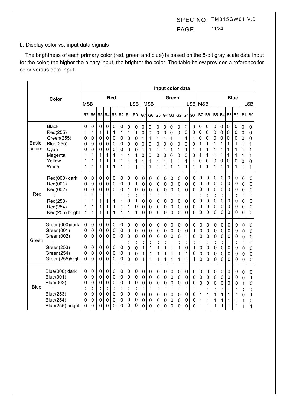SPEC NO. TM315GW01 V.0 PAGE 11/24

#### b. Display color vs. input data signals

The brightness of each primary color (red, green and blue) is based on the 8-bit gray scale data input for the color; the higher the binary input, the brighter the color. The table below provides a reference for color versus data input.

|                        | Input color data                                                                                            |                                      |                                              |                                              |                                              |                                                        |                                                        |                                                      |                                      |                                              |                                                        |                                              |                                                                  |                                                                            |                                         |                                                        |                                      |                                                                |                                                                               |                                                         |                                                        |                                              |                                                         |                                                                     |                                                                        |
|------------------------|-------------------------------------------------------------------------------------------------------------|--------------------------------------|----------------------------------------------|----------------------------------------------|----------------------------------------------|--------------------------------------------------------|--------------------------------------------------------|------------------------------------------------------|--------------------------------------|----------------------------------------------|--------------------------------------------------------|----------------------------------------------|------------------------------------------------------------------|----------------------------------------------------------------------------|-----------------------------------------|--------------------------------------------------------|--------------------------------------|----------------------------------------------------------------|-------------------------------------------------------------------------------|---------------------------------------------------------|--------------------------------------------------------|----------------------------------------------|---------------------------------------------------------|---------------------------------------------------------------------|------------------------------------------------------------------------|
|                        | Color                                                                                                       |                                      |                                              |                                              |                                              | Red                                                    |                                                        |                                                      |                                      |                                              | Green                                                  |                                              |                                                                  |                                                                            |                                         | <b>Blue</b>                                            |                                      |                                                                |                                                                               |                                                         |                                                        |                                              |                                                         |                                                                     |                                                                        |
|                        |                                                                                                             | <b>MSB</b>                           |                                              |                                              |                                              |                                                        | <b>LSB</b>                                             |                                                      | <b>MSB</b>                           |                                              |                                                        |                                              |                                                                  |                                                                            |                                         | LSB MSB                                                |                                      |                                                                |                                                                               |                                                         |                                                        | <b>LSB</b>                                   |                                                         |                                                                     |                                                                        |
|                        |                                                                                                             | R7                                   | R6                                           | R <sub>5</sub>                               | R4                                           |                                                        | $R3$ $R2$                                              | R1                                                   | R <sub>0</sub>                       | G7                                           | G <sub>6</sub>                                         | G <sub>5</sub>                               |                                                                  | G4 G3                                                                      | G <sub>2</sub>                          | G1 G0                                                  |                                      | <b>B7</b>                                                      | B <sub>6</sub>                                                                | B5                                                      | <b>B4</b>                                              | B <sub>3</sub>                               | B <sub>2</sub>                                          | B1                                                                  | B <sub>0</sub>                                                         |
| <b>Basic</b><br>colors | <b>Black</b><br>Red(255)<br>Green(255)<br><b>Blue(255)</b><br>Cyan<br>Magenta<br>Yellow<br>White            | 0<br>1<br>0<br>0<br>0<br>1<br>1<br>1 | 0<br>1<br>0<br>0<br>0<br>1<br>1<br>1         | 0<br>1<br>0<br>0<br>0<br>1<br>1<br>1         | 0<br>1<br>0<br>0<br>0<br>1<br>1<br>1         | $\mathbf 0$<br>1<br>0<br>0<br>0<br>1<br>1<br>1         | 0<br>1<br>0<br>0<br>0<br>1<br>1<br>1                   | 0<br>1<br>0<br>0<br>0<br>1<br>1<br>1                 | 0<br>1<br>0<br>0<br>0<br>1<br>1<br>1 | 0<br>0<br>1<br>0<br>1<br>0<br>1<br>1         | $\pmb{0}$<br>0<br>1<br>0<br>1<br>0<br>1<br>1           | 0<br>0<br>1<br>0<br>1<br>0<br>1<br>1         | 0<br>0<br>1<br>0<br>1<br>0<br>1<br>1                             | $\overline{0}$<br>0<br>1<br>0<br>1<br>0<br>1<br>1                          | 0<br>0<br>1<br>0<br>1<br>0<br>1<br>1    | $\pmb{0}$<br>0<br>1<br>0<br>1<br>0<br>1<br>1           | 0<br>0<br>1<br>0<br>1<br>0<br>1<br>1 | 0<br>0<br>0<br>1<br>1<br>1<br>0<br>1                           | $\pmb{0}$<br>0<br>0<br>1<br>1<br>1<br>0<br>1                                  | $\mathbf 0$<br>0<br>0<br>1<br>1<br>1<br>0<br>1          | 0<br>0<br>0<br>1<br>1<br>1<br>0<br>1                   | 0<br>0<br>0<br>1<br>1<br>1<br>0<br>1         | $\mathbf 0$<br>0<br>0<br>1<br>1<br>1<br>0<br>1          | 0<br>0<br>0<br>1<br>1<br>1<br>0<br>1                                | $\pmb{0}$<br>0<br>0<br>1<br>1<br>1<br>0<br>1                           |
| Red                    | Red(000) dark<br>Red(001)<br>Red(002)<br>Red(253)<br>Red(254)<br>Red(255) bright                            | 0<br>0<br>0<br>t<br>1<br>1<br>1      | 0<br>0<br>0<br>1<br>1<br>1                   | 0<br>0<br>0<br>$\ddot{\cdot}$<br>1<br>1<br>1 | 0<br>0<br>0<br>1<br>1<br>1                   | $\mathbf 0$<br>0<br>0<br>t<br>1<br>1<br>1              | 0<br>0<br>0<br>t<br>1<br>1<br>1                        | 0<br>0<br>1<br>$\ddot{\cdot}$<br>0<br>1<br>1         | 0<br>1<br>0<br>1<br>0<br>1           | 0<br>0<br>0<br>t<br>0<br>0<br>0              | $\mathsf 0$<br>0<br>0<br>$\ddot{\cdot}$<br>0<br>0<br>0 | 0<br>0<br>0<br>$\ddot{\cdot}$<br>0<br>0<br>0 | $\mathbf 0$<br>0<br>0<br>$\ddot{\cdot}$<br>0<br>0<br>0           | $\mathbf 0$<br>0<br>$\pmb{0}$<br>t<br>$\pmb{0}$<br>0<br>0                  | 0<br>0<br>0<br>0<br>0<br>0              | $\mathbf 0$<br>0<br>0<br>$\ddot{\cdot}$<br>0<br>0<br>0 | 0<br>$\pmb{0}$<br>0<br>0<br>0<br>0   | 0<br>0<br>0<br>0<br>0<br>0                                     | $\pmb{0}$<br>0<br>$\mathbf 0$<br>$\pmb{0}$<br>0<br>0                          | 0<br>0<br>0<br>0<br>0<br>0                              | 0<br>0<br>0<br>0<br>0<br>0                             | 0<br>0<br>0<br>t<br>0<br>0<br>0              | 0<br>0<br>0<br>Ì<br>0<br>0<br>0                         | 0<br>0<br>0<br>$\ddot{\cdot}$<br>0<br>0<br>0                        | $\pmb{0}$<br>0<br>$\pmb{0}$<br>$\ddot{\cdot}$<br>$\mathsf 0$<br>0<br>0 |
| Green                  | Green(000)dark<br>Green(001)<br>Green(002)<br>Green(253)<br>Green(254)<br>Green(255)bright                  | 0<br>0<br>0<br>0<br>0<br>0           | 0<br>0<br>0<br>$\ddot{\cdot}$<br>0<br>0<br>0 | 0<br>0<br>0<br>0<br>0<br>0                   | 0<br>0<br>0<br>0<br>0<br>0                   | 0<br>0<br>0<br>$\ddot{\cdot}$<br>$\mathbf 0$<br>0<br>0 | 0<br>0<br>0<br>0<br>0<br>0                             | 0<br>0<br>0<br>$\ddot{\cdot}$<br>0<br>0<br>0         | 0<br>0<br>0<br>t<br>0<br>0<br>0      | 0<br>0<br>0<br>$\ddot{\cdot}$<br>1<br>1<br>1 | 0<br>0<br>0<br>÷<br>1<br>1<br>1                        | 0<br>0<br>0<br>÷,<br>1<br>1<br>1             | 0<br>0<br>0<br>$\ddot{\cdot}$<br>1<br>1<br>1                     | 0<br>$\mathbf 0$<br>$\mathbf 0$<br>1<br>1<br>1                             | 0<br>0<br>0<br>İ.<br>1<br>1<br>1        | 0<br>0<br>1<br>t<br>0<br>1<br>1                        | 0<br>1<br>0<br>٠<br>1<br>0<br>1      | 0<br>0<br>$\overline{0}$<br>$\mathbf 0$<br>0<br>$\overline{0}$ | 0<br>0<br>$\mathbf 0$<br>$\ddot{\cdot}$<br>$\mathbf 0$<br>0<br>$\overline{0}$ | 0<br>0<br>0<br>$\ddot{\phantom{a}}$<br>0<br>0<br>0      | 0<br>0<br>$\overline{0}$<br>÷<br>$\mathbf 0$<br>0<br>0 | 0<br>0<br>0<br>$\ddot{\cdot}$<br>0<br>0<br>0 | 0<br>0<br>$\mathbf 0$<br>÷<br>0<br>0<br>0               | 0<br>0<br>$\overline{0}$<br>$\ddot{\cdot}$<br>$\mathbf 0$<br>0<br>0 | 0<br>0<br>$\mathbf 0$<br>$\ddot{\cdot}$<br>$\pmb{0}$<br>$\pmb{0}$<br>0 |
| <b>Blue</b>            | Blue(000) dark<br><b>Blue(001)</b><br><b>Blue(002)</b><br>Blue(253)<br><b>Blue(254)</b><br>Blue(255) bright | 0<br>0<br>0<br>0<br>0<br>0           | 0<br>0<br>0<br>Ĭ.<br>0<br>0<br>0             | 0<br>0<br>0<br>$\ddot{\cdot}$<br>0<br>0<br>0 | 0<br>0<br>0<br>$\ddot{\cdot}$<br>0<br>0<br>0 | 0<br>0<br>0<br>$\ddot{\cdot}$<br>$\pmb{0}$<br>0<br>0   | 0<br>0<br>0<br>$\ddot{\cdot}$<br>$\mathsf 0$<br>0<br>0 | $\pmb{0}$<br>0<br>0<br>$\ddot{\cdot}$<br>0<br>0<br>0 | 0<br>0<br>0<br>t<br>0<br>0<br>0      | 0<br>0<br>0<br>$\ddot{\cdot}$<br>0<br>0<br>0 | 0<br>0<br>0<br>$\ddot{\cdot}$<br>0<br>0<br>0           | 0<br>0<br>0<br>İ,<br>$\mathbf 0$<br>0<br>0   | $\mathbf 0$<br>0<br>0<br>$\ddot{\cdot}$<br>$\mathbf 0$<br>0<br>0 | $\mathbf 0$<br>$\mathbf 0$<br>0<br>$\ddot{\cdot}$<br>$\mathbf 0$<br>0<br>0 | 0<br>0<br>0<br>$\bullet$<br>0<br>0<br>0 | 0<br>0<br>0<br>t<br>0<br>0<br>0                        | 0<br>0<br>0<br>0<br>0<br>0           | $\pmb{0}$<br>0<br>0<br>1<br>1<br>1                             | $\pmb{0}$<br>$\mathbf 0$<br>0<br>$\ddot{\cdot}$<br>1<br>1<br>1                | 0<br>$\mathbf 0$<br>0<br>$\bullet$<br>ä,<br>1<br>1<br>1 | 0<br>0<br>0<br>1<br>1<br>1                             | 0<br>0<br>0<br>$\ddot{\cdot}$<br>1<br>1<br>1 | 0<br>$\mathbf 0$<br>0<br>$\bullet$<br>÷,<br>1<br>1<br>1 | 0<br>0<br>1<br>İ<br>0<br>1<br>1                                     | 0<br>1<br>0<br>$\ddot{\cdot}$<br>1<br>$\mathbf 0$<br>1                 |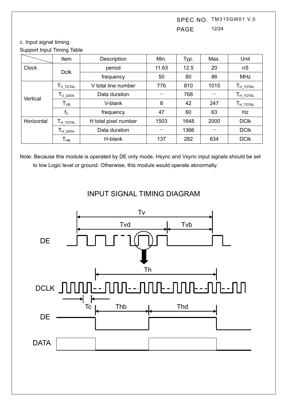SPEC NO. TM315GW01 V.0 PAGE 12/24

### c. Input signal timing Support Input Timing Table

|              | Item                             | Description          | Min.  | Typ. | Max. | Unit                             |
|--------------|----------------------------------|----------------------|-------|------|------|----------------------------------|
| <b>Clock</b> | <b>Dclk</b>                      | period               | 11.63 | 12.5 | 20   | nS                               |
|              |                                  | frequency            | 50    | 80   | 86   | <b>MHz</b>                       |
|              | $T_{V\_TOTAL}$                   | V total line number  | 776   | 810  | 1015 | $\mathsf{T}_{\mathsf{H\_TOTAL}}$ |
| Vertical     | $T_{V\text{ DATA}}$              | Data duration        |       | 768  |      | $\mathsf{T}_{\mathsf{H\_TOTAL}}$ |
|              | $\mathsf{T}_{\mathsf{VB}}$       | V-blank              | 8     | 42   | 247  | $\mathsf{T}_{\mathsf{H\_TOTAL}}$ |
|              | $f_{\vee}$                       | frequency            | 47    | 60   | 63   | Hz                               |
| Horizontal   | $\mathsf{T}_{\mathsf{H\_TOTAL}}$ | H total pixel number | 1503  | 1648 | 2000 | <b>DCIK</b>                      |
|              | $\mathsf{T}_{\mathsf{H\_DATA}}$  | Data duration        |       | 1366 |      | <b>DCIK</b>                      |
|              | Т <sub>нв</sub>                  | H-blank              | 137   | 282  | 634  | <b>DCIK</b>                      |

Note: Because this module is operated by DE only mode, Hsync and Vsync input signals should be set to low Logic level or ground. Otherwise, this module would operate abnormally.



# INPUT SIGNAL TIMING DIAGRAM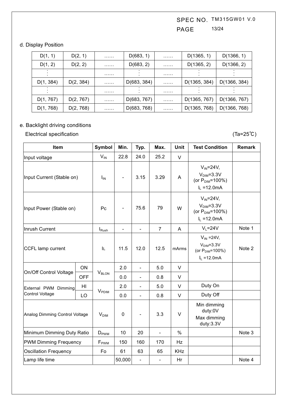SPEC NO. TM315GW01 V.0 PAGE 13/24

### d. Display Position

| D(1, 1)   | D(2, 1)   | . | D(683, 1)   | . | D(1365, 1)   | D(1366, 1)   |
|-----------|-----------|---|-------------|---|--------------|--------------|
| D(1, 2)   | D(2, 2)   | . | D(683, 2)   | . | D(1365, 2)   | D(1366, 2)   |
|           |           | . |             | . |              |              |
| D(1, 384) | D(2, 384) | . | D(683, 384) | . | D(1365, 384) | D(1366, 384) |
|           |           | . |             | . |              |              |
| D(1, 767) | D(2, 767) | . | D(683, 767) | . | D(1365, 767) | D(1366, 767) |
| D(1, 768) | D(2, 768) | . | D(683, 768) | . | D(1365, 768) | D(1366, 768) |

# e. Backlight driving conditions

Electrical specification (Ta=25 °C)

| Item                           |                  | Symbol            | Min.                         | Typ.                     | Max.           | <b>Unit</b>                                                                    | <b>Test Condition</b>                                                               | <b>Remark</b> |
|--------------------------------|------------------|-------------------|------------------------------|--------------------------|----------------|--------------------------------------------------------------------------------|-------------------------------------------------------------------------------------|---------------|
| Input voltage                  |                  | $V_{IN}$          | 22.8                         | 24.0                     | 25.2           | $\vee$                                                                         |                                                                                     |               |
| Input Current (Stable on)      |                  | $I_{IN}$          | $\qquad \qquad \blacksquare$ | 3.15                     | 3.29           | A                                                                              | $V_{IN} = 24V$ ,<br>$VDIM=3.3V$<br>(or $P_{\text{DIM}} = 100\%$ )<br>$I_L = 12.0mA$ |               |
| Input Power (Stable on)        |                  | Pc                | $\qquad \qquad \blacksquare$ | 75.6                     | 79             | W                                                                              | $V_{IN} = 24V$ ,<br>$VDIM=3.3V$<br>(or $P_{\text{DIM}} = 100\%$ )<br>$I_L = 12.0mA$ |               |
| Inrush Current                 |                  | $I_{\text{Rush}}$ | $\frac{1}{2}$                | $\frac{1}{2}$            | $\overline{7}$ | A                                                                              | $V_L = 24V$                                                                         | Note 1        |
| <b>CCFL lamp current</b>       | IL.              | 11.5              | 12.0                         | 12.5                     | mArms          | $V_{IN}$ =24V,<br>$VDIM=3.3V$<br>(or P <sub>DIM</sub> =100%)<br>$I_L = 12.0mA$ | Note 2                                                                              |               |
|                                | ON               |                   | 2.0                          | $\frac{1}{2}$            | 5.0            | $\vee$                                                                         |                                                                                     |               |
| On/Off Control Voltage         | <b>OFF</b>       | V <sub>BLON</sub> | 0.0                          | $\overline{\phantom{0}}$ | 0.8            | $\vee$                                                                         |                                                                                     |               |
| External PWM Dimming           | HI               |                   | 2.0                          | $\overline{a}$           | 5.0            | $\vee$                                                                         | Duty On                                                                             |               |
| Control Voltage                | LO               | $V_{\rm PDIM}$    | 0.0                          | $\overline{a}$           | 0.8            | $\vee$                                                                         | Duty Off                                                                            |               |
| Analog Dimming Control Voltage | $V_{\text{DIM}}$ | $\mathbf 0$       | $\blacksquare$               | 3.3                      | $\vee$         | Min dimming<br>duty:0V<br>Max dimming<br>duty:3.3V                             |                                                                                     |               |
| Minimum Dimming Duty Ratio     |                  | $D_{\text{PWM}}$  | 10                           | 20                       | $\blacksquare$ | $\%$                                                                           |                                                                                     | Note 3        |
| <b>PWM Dimming Frequency</b>   |                  | F <sub>PWM</sub>  | 150                          | 160                      | 170            | Hz                                                                             |                                                                                     |               |
| <b>Oscillation Frequency</b>   |                  | Fo                | 61                           | 63                       | 65             | <b>KHz</b>                                                                     |                                                                                     |               |
| Lamp life time                 |                  |                   | 50,000                       | $\overline{\phantom{a}}$ | $\blacksquare$ | Hr                                                                             |                                                                                     | Note 4        |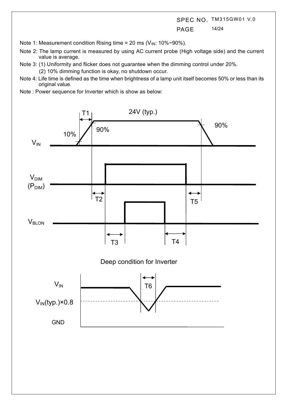SPEC NO. TM315GW01 V.0 PAGE 14/24

Note 1: Measurement condition Rising time = 20 ms ( $V_{IN}$ : 10%~90%).

- Note 2: The lamp current is measured by using AC current probe (High voltage side) and the current value is average.
- Note 3: (1) Uniformity and flicker does not guarantee when the dimming control under 20%.

(2) 10% dimming function is okay, no shutdown occur.

- Note 4: Life time is defined as the time when brightness of a lamp unit itself becomes 50% or less than its original value.
- Note : Power sequence for Inverter which is show as below:

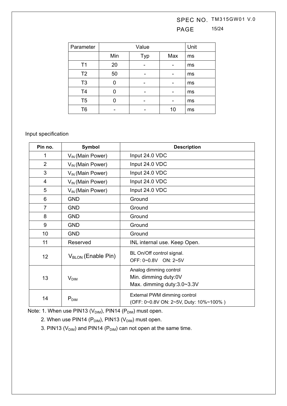# SPEC NO. TM315GW01 V.0 PAGE 15/24

| Parameter      |     |     | Unit |    |
|----------------|-----|-----|------|----|
|                | Min | Typ | Max  | ms |
| T <sub>1</sub> | 20  |     |      | ms |
| T <sub>2</sub> | 50  |     |      | ms |
| T <sub>3</sub> | 0   |     |      | ms |
| T4             | ი   |     |      | ms |
| T <sub>5</sub> |     |     |      | ms |
| T6             |     |     | 10   | ms |

## Input specification

| Pin no.                | Symbol                         | <b>Description</b>                                                           |  |  |
|------------------------|--------------------------------|------------------------------------------------------------------------------|--|--|
| 1                      | $V_{IN}$ (Main Power)          | Input 24.0 VDC                                                               |  |  |
| $\overline{2}$         | $V_{IN}$ (Main Power)          | Input 24.0 VDC                                                               |  |  |
| 3                      | $V_{IN}$ (Main Power)          | Input 24.0 VDC                                                               |  |  |
| $\overline{4}$         | $V_{\text{IN}}$ (Main Power)   | Input 24.0 VDC                                                               |  |  |
| 5                      | $V_{\text{IN}}$ (Main Power)   | Input 24.0 VDC                                                               |  |  |
| 6                      | <b>GND</b>                     | Ground                                                                       |  |  |
| $\overline{7}$         | <b>GND</b>                     | Ground                                                                       |  |  |
| 8                      | <b>GND</b>                     | Ground                                                                       |  |  |
| 9                      | <b>GND</b>                     | Ground                                                                       |  |  |
| 10                     | <b>GND</b>                     | Ground                                                                       |  |  |
| 11                     | Reserved                       | INL internal use. Keep Open.                                                 |  |  |
| 12                     | $V_{\text{BLON}}$ (Enable Pin) | BL On/Off control signal.<br>OFF: 0~0.8V ON: 2~5V                            |  |  |
| 13<br>$V_{\text{DIM}}$ |                                | Analog dimming control<br>Min. dimming duty:0V<br>Max. dimming duty:3.0~3.3V |  |  |
| 14                     | $P_{DIM}$                      | External PWM dimming control<br>(OFF: 0~0.8V ON: 2~5V, Duty: 10%~100%)       |  |  |

Note: 1. When use PIN13 ( $V_{\text{DIM}}$ ), PIN14 ( $P_{\text{DIM}}$ ) must open.

2. When use PIN14 ( $P<sub>DIM</sub>$ ), PIN13 ( $V<sub>DIM</sub>$ ) must open.

3. PIN13 ( $V_{\text{DIM}}$ ) and PIN14 ( $P_{\text{DIM}}$ ) can not open at the same time.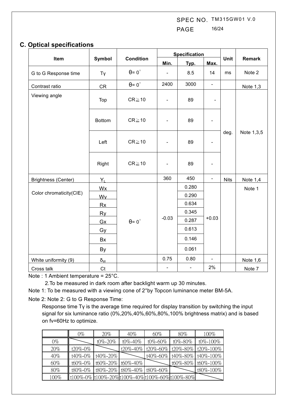SPEC NO. TM315GW01 V.0 PAGE 16/24

## **C. Optical specifications**

|                            |                     |                                         | <b>Specification</b>     |                |                              |             |               |
|----------------------------|---------------------|-----------------------------------------|--------------------------|----------------|------------------------------|-------------|---------------|
| Item                       | Symbol              | <b>Condition</b>                        | Min.                     | Typ.           | Max.                         | Unit        | <b>Remark</b> |
| G to G Response time       | Tγ                  | $\theta = 0^{\circ}$                    | $\blacksquare$           | 8.5            | 14                           | ms          | Note 2        |
| Contrast ratio             | <b>CR</b>           | $\theta = 0^{\circ}$                    | 2400                     | 3000           | $\blacksquare$               |             | Note 1,3      |
| Viewing angle              | Top                 | $CR \ge 10$                             | $\blacksquare$           | 89             | $\qquad \qquad \blacksquare$ |             |               |
|                            | <b>Bottom</b>       | $CR \ge 10$                             | $\overline{\phantom{0}}$ | 89             |                              |             |               |
|                            | Left                | $CR \ge 10$                             | $\overline{\phantom{0}}$ | 89             | $\overline{\phantom{a}}$     | deg.        | Note 1,3,5    |
|                            | Right               | $CR \ge 10$                             | $\overline{\phantom{0}}$ | 89             | $\overline{\phantom{a}}$     |             |               |
| <b>Brightness (Center)</b> | $Y_L$               |                                         | 360                      | 450            | $\blacksquare$               | <b>Nits</b> | Note 1,4      |
|                            | <b>Wx</b>           |                                         |                          | 0.280          | $+0.03$                      |             | Note 1        |
| Color chromaticity(CIE)    | Wy                  |                                         |                          | 0.290          |                              |             |               |
|                            | <b>Rx</b>           | <b>Ry</b><br>$\theta = 0^{\circ}$<br>Gx |                          | 0.634          |                              |             |               |
|                            |                     |                                         |                          | 0.345          |                              |             |               |
|                            |                     |                                         | $-0.03$                  | 0.287          |                              |             |               |
|                            | Gy                  |                                         |                          | 0.613          |                              |             |               |
|                            | Bx                  |                                         |                          | 0.146          |                              |             |               |
|                            | By                  |                                         |                          | 0.061          |                              |             |               |
| White uniformity (9)       | $\delta_{\text{W}}$ |                                         | 0.75                     | 0.80           | $\blacksquare$               |             | Note 1,6      |
| Cross talk                 | C <sub>t</sub>      |                                         | $\blacksquare$           | $\blacksquare$ | 2%                           |             | Note 7        |

Note : 1 Ambient temperature = 25°C.

2.To be measured in dark room after backlight warm up 30 minutes.

Note 1: To be measured with a viewing cone of 2°by Topcon luminance meter BM-5A.

Note 2: Note 2: G to G Response Time:

Response time  $Ty$  is the average time required for display transition by switching the input signal for six luminance ratio (0%,20%,40%,60%,80%,100% brightness matrix) and is based on fv=60Hz to optimize.

|        | 0%      | 20%                        | $40\%$        | 60%                                           | $80\%$   | 100%        |
|--------|---------|----------------------------|---------------|-----------------------------------------------|----------|-------------|
| $0\%$  |         | t0%-20%                    | $t0\% - 40\%$ | t0%-60%                                       | t0%-80%  | t0%-100%    |
| 20%    | t20%-0% |                            | t20%-40%      | t20%-60% t20%-80%                             |          | t20\%-100\% |
| $40\%$ | t40%-0% | t40%-20%                   |               | t40%-60%                                      | t40%-80% | t40%-100%   |
| 60%    | t60%-0% | t60%-20% t60%-40%          |               |                                               | t60%-80% | t60%-100%   |
| 80%    | t80%-0% | t80%-20% t80%-40% t80%-60% |               |                                               |          | t80%-100%   |
| 100%   |         |                            |               | t100%-0% t100%-20%t100%-40%t100%-60%t100%-80% |          |             |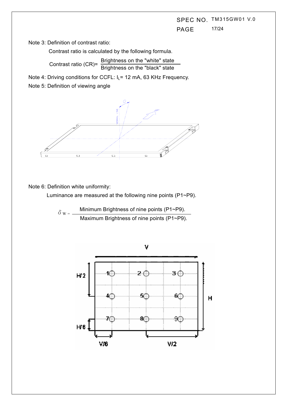# SPEC NO. TM315GW01 V.0 PAGE 17/24

Note 3: Definition of contrast ratio:

Contrast ratio is calculated by the following formula.

Contrast ratio (CR)=  $\frac{\text{Brighness on the "white" state}}{\text{Brightness on the "black" state}}$ 

Note 4: Driving conditions for CCFL: I<sub>L</sub>= 12 mA, 63 KHz Frequency.

Note 5: Definition of viewing angle



Note 6: Definition white uniformity:

Luminance are measured at the following nine points (P1~P9).

$$
\delta w = \frac{\text{Minimum brightness of nine points (P1~P9).}}{\text{Maximum brightness of nine points (P1~P9).}}
$$

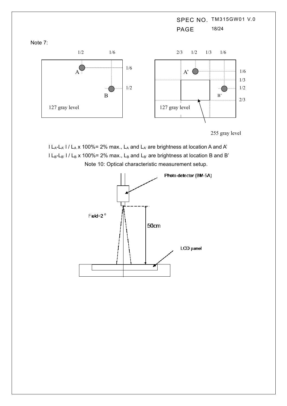SPEC NO. TM315GW01 V.0 PAGE 18/24 1/2 1/2 1/6 1/6  $A^{\left( \right)}$ B 1/2 2/3 1/3 1/2 1/6 1/6 1/3 2/3 A' B' 127 gray level 227 and 127 gray level

255 gray level

 $l L_A-L_A'$  l /  $L_A$  x 100%= 2% max.,  $L_A$  and  $L_A$  are brightness at location A and A'  $l L_{B}$ -L<sub>B'</sub> l / L<sub>B</sub> x 100%= 2% max., L<sub>B</sub> and L<sub>B'</sub> are brightness at location B and B' Note 10: Optical characteristic measurement setup.



Note 7: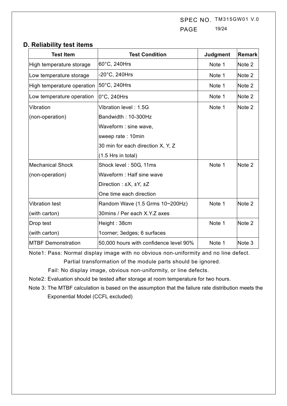SPEC NO. TM315GW01 V.0 PAGE 19/24

## **D. Reliability test items**

| <b>Test Item</b>           | <b>Test Condition</b>                   | Judgment | <b>Remark</b> |
|----------------------------|-----------------------------------------|----------|---------------|
| High temperature storage   | 60°C, 240Hrs                            | Note 1   | Note 2        |
| Low temperature storage    | $-20^{\circ}$ C, 240Hrs                 | Note 1   | Note 2        |
| High temperature operation | 50°C, 240Hrs                            | Note 1   | Note 2        |
| Low temperature operation  | $ 0^{\circ}$ C, 240Hrs                  | Note 1   | Note 2        |
| Vibration                  | Vibration level: 1.5G                   | Note 1   | Note 2        |
| (non-operation)            | Bandwidth: 10-300Hz                     |          |               |
|                            | Waveform : sine wave,                   |          |               |
|                            | sweep rate: 10min                       |          |               |
|                            | 30 min for each direction X, Y, Z       |          |               |
|                            | $(1.5$ Hrs in total)                    |          |               |
| <b>Mechanical Shock</b>    | Shock level: 50G, 11ms                  | Note 1   | Note 2        |
| (non-operation)            | Waveform: Half sine wave                |          |               |
|                            | Direction : $\pm X$ , $\pm Y$ , $\pm Z$ |          |               |
|                            | One time each direction                 |          |               |
| <b>Vibration test</b>      | Random Wave (1.5 Grms 10~200Hz)         | Note 1   | Note 2        |
| (with carton)              | 30mins / Per each X.Y.Z axes            |          |               |
| Drop test                  | Height: 38cm                            | Note 1   | Note 2        |
| (with carton)              | 1corner; 3edges; 6 surfaces             |          |               |
| <b>MTBF Demonstration</b>  | 50,000 hours with confidence level 90%  | Note 1   | Note 3        |

Note1: Pass: Normal display image with no obvious non-uniformity and no line defect.

Partial transformation of the module parts should be ignored.

Fail: No display image, obvious non-uniformity, or line defects.

- Note2: Evaluation should be tested after storage at room temperature for two hours.
- Note 3: The MTBF calculation is based on the assumption that the failure rate distribution meets the Exponential Model (CCFL excluded)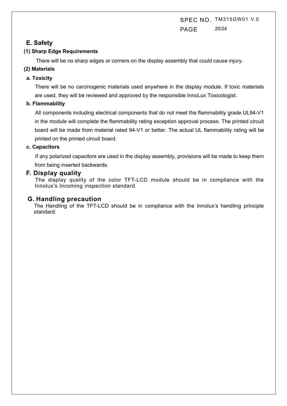SPEC NO. TM315GW01 V.0 PAGE 20/24

## **E. Safety**

### **(1) Sharp Edge Requirements**

There will be no sharp edges or corners on the display assembly that could cause injury.

### **(2) Materials**

### **a. Toxicity**

There will be no carcinogenic materials used anywhere in the display module. If toxic materials are used, they will be reviewed and approved by the responsible InnoLux Toxicologist.

### **b. Flammability**

All components including electrical components that do not meet the flammability grade UL94-V1 in the module will complete the flammability rating exception approval process. The printed circuit board will be made from material rated 94-V1 or better. The actual UL flammability rating will be printed on the printed circuit board.

### **c. Capacitors**

If any polarized capacitors are used in the display assembly, provisions will be made to keep them from being inserted backwards.

### **F. Display quality**

The display quality of the color TFT-LCD module should be in compliance with the Innolux's Incoming inspection standard.

## **G. Handling precaution**

The Handling of the TFT-LCD should be in compliance with the Innolux's handling principle standard.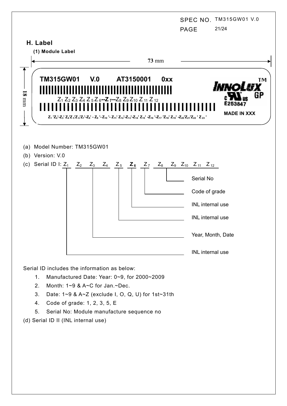|                   |                                                                           |       |       |                                                                                                                                                                                                                                                                                                                                                                                                                                                                                                                                                                                                          |              |            | <b>PAGE</b>                                                                                                                                                  | SPEC NO. TM315GW01 V.0<br>21/24 |
|-------------------|---------------------------------------------------------------------------|-------|-------|----------------------------------------------------------------------------------------------------------------------------------------------------------------------------------------------------------------------------------------------------------------------------------------------------------------------------------------------------------------------------------------------------------------------------------------------------------------------------------------------------------------------------------------------------------------------------------------------------------|--------------|------------|--------------------------------------------------------------------------------------------------------------------------------------------------------------|---------------------------------|
|                   | H. Label<br>(1) Module Label                                              |       |       |                                                                                                                                                                                                                                                                                                                                                                                                                                                                                                                                                                                                          | <b>73 mm</b> |            |                                                                                                                                                              |                                 |
| $18\ \mathrm{mm}$ | TM315GW01 V.0                                                             |       |       | AT3150001<br>Z <sub>1</sub> Z <sub>2</sub> Z <sub>3</sub> Z <sub>4</sub> Z <sub>5</sub> Z <sub>6</sub> --Z <sub>7</sub> --Z <sub>8</sub> Z <sub>9</sub> Z <sub>10</sub> Z <sub>11</sub> Z <sub>12</sub><br>Z <sub>1</sub> 'Z <sub>2</sub> '-Z <sub>3</sub> 'Z <sub>4</sub> 'Z <sub>5</sub> 'Z <sub>6</sub> 'Z <sub>7</sub> '-Z <sub>8</sub> ' - Z <sub>9</sub> '-Z <sub>10</sub> '-Z <sub>11</sub> ' Z <sub>12</sub> '-Z <sub>13</sub> '-Z <sub>14</sub> ' Z <sub>15</sub> '-Z <sub>16</sub> '-Z <sub>18</sub> ' Z <sub>18</sub> '-Z <sub>20</sub> 'Z <sub>21</sub> 'Z <sub>22</sub> ' Z <sub>23</sub> ' |              | <b>Oxx</b> |                                                                                                                                                              | TΜ<br>GP<br><b>MADE IN XXX</b>  |
|                   | (a) Model Number: TM315GW01<br>(b) Version: V.0<br>(c) Serial ID I: $Z_1$ | $Z_2$ | $Z_3$ | $Z_4$ $Z_5$ $Z_6$ $Z_7$                                                                                                                                                                                                                                                                                                                                                                                                                                                                                                                                                                                  |              |            | $Z_8$ $Z_9$ $Z_{10}$ $Z_{11}$ $Z_{12}$<br>Serial No<br>Code of grade<br>INL internal use<br>INL internal use<br>Year, Month, Date<br><b>INL</b> internal use |                                 |

Serial ID includes the information as below:

- 1. Manufactured Date: Year: 0~9, for 2000~2009
- 2. Month: 1~9 & A~C for Jan.~Dec.
- 3. Date: 1~9 & A~Z (exclude I, O, Q, U) for 1st~31th
- 4. Code of grade: 1, 2, 3, 5, E
- 5. Serial No: Module manufacture sequence no
- (d) Serial ID II (INL internal use)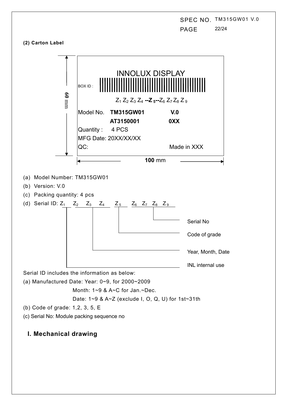SPEC NO. TM315GW01 V.0 PAGE 22/24

#### **(2) Carton Label**



## **I. Mechanical drawing**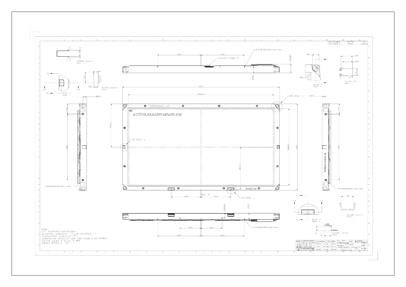